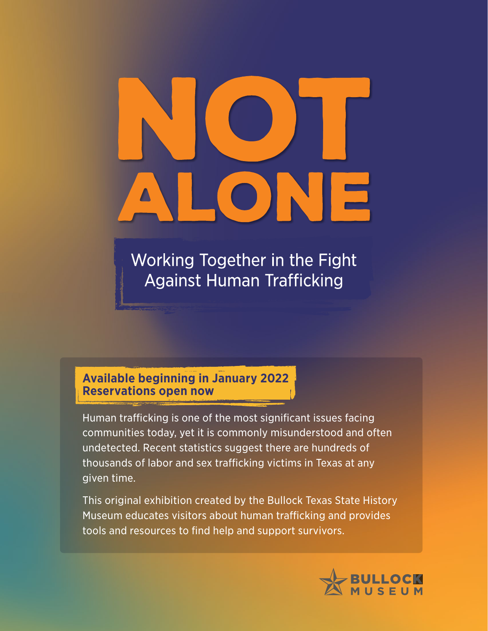Working Together in the Fight **Against Human Trafficking** 

## **Available beginning in January 2022 Reservations open now**

Human trafficking is one of the most significant issues facing communities today, yet it is commonly misunderstood and often undetected. Recent statistics suggest there are hundreds of thousands of labor and sex trafficking victims in Texas at any given time.

This original exhibition created by the Bullock Texas State History Museum educates visitors about human trafficking and provides tools and resources to find help and support survivors.

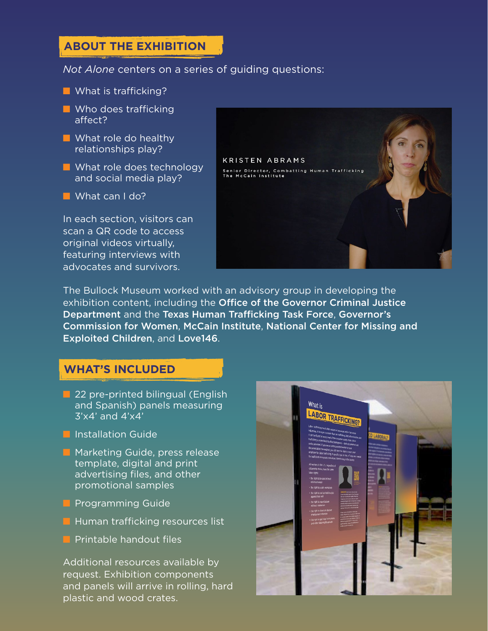# ABOUT THE EXHIBITION **ABOUT THE EXHIBITION**

#### *Not Alone* centers on a series of guiding questions:

#### ■ What is trafficking?

- Who does trafficking affect?
- What role do healthy relationships play?
- What role does technology and social media play?
- What can I do?

In each section, visitors can scan a QR code to access original videos virtually, featuring interviews with advocates and survivors.



The Bullock Museum worked with an advisory group in developing the exhibition content, including the Office of the Governor Criminal Justice Department and the Texas Human Trafficking Task Force, Governor's Commission for Women, McCain Institute, National Center for Missing and Exploited Children, and Love146.

### **WHAT'S INCLUDED**

- 22 pre-printed bilingual (English and Spanish) panels measuring  $3'x4'$  and  $4'x4'$
- Installation Guide
- Marketing Guide, press release template, digital and print advertising files, and other promotional samples
- Programming Guide
- Human trafficking resources list
- Printable handout files

Additional resources available by request. Exhibition components and panels will arrive in rolling, hard plastic and wood crates.